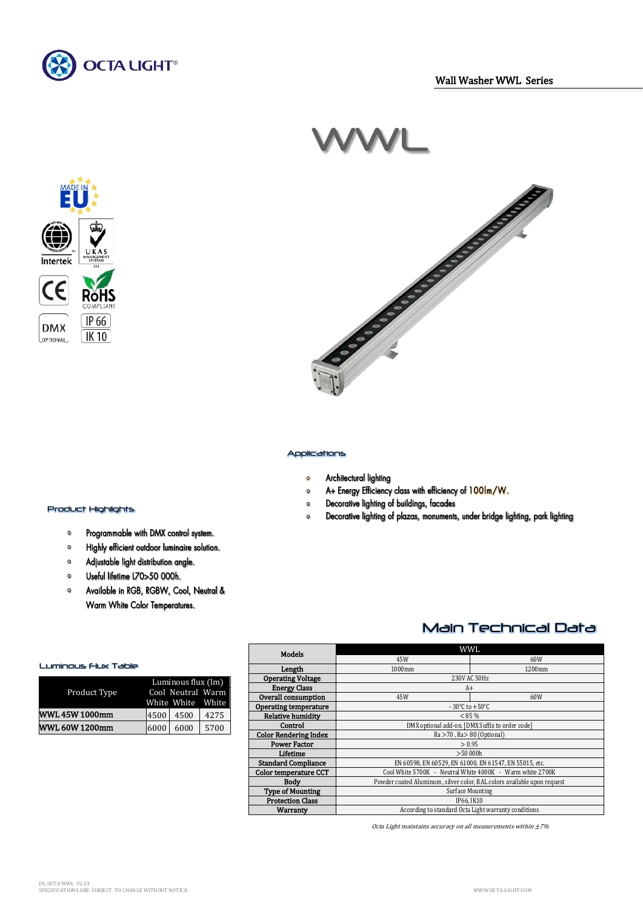



# WWL



#### Applications

- Architectural lighting  $\bullet$
- A+ Energy Efficiency class with efficiency of 100lm/W.  $\mathbf{o}$
- Decorative lighting of buildings, facades  $\bullet$
- Decorative lighting of plazas, monuments, under bridge lighting, park lighting  $\circ$

## i<br>Li Product Highlights

- Programmable with DMX control system.  $\bullet$
- Highly efficient outdoor luminaire solution.  $\bullet$
- Adjustable light distribution angle.  $\bullet$
- $\bullet$ Useful lifetime L70>50 000h.
- $\circ$ Available in RGB, RGBW, Cool, Neutral & Warm White Color Temperatures.

#### Luminous Flux Table

| Product Type          |      | Luminous flux (lm)<br>Cool Neutral Warm<br>White White White |      |  |
|-----------------------|------|--------------------------------------------------------------|------|--|
| <b>WWL 45W 1000mm</b> | 4500 | 4500                                                         | 4275 |  |
| <b>WWL 60W 1200mm</b> | 6000 | 6000                                                         | 5700 |  |

| Models                       | WWI.                                                                    |     |  |
|------------------------------|-------------------------------------------------------------------------|-----|--|
|                              | 45W                                                                     | 60W |  |
| Length                       | 1000mm<br>1200mm                                                        |     |  |
| <b>Operating Voltage</b>     | 230V AC 50Hz                                                            |     |  |
| <b>Energy Class</b>          | $A+$                                                                    |     |  |
| Overall consumption          | 45W                                                                     | 60W |  |
| <b>Operating temperature</b> | $-30^{\circ}$ C to $+50^{\circ}$ C                                      |     |  |
| <b>Relative humidity</b>     | $< 85 \%$                                                               |     |  |
| Control                      | DMX optional add-on. [DMX Suffix to order code]                         |     |  |
| <b>Color Rendering Index</b> | $Ra > 70$ , $Ra > 80$ (Optional)                                        |     |  |
| <b>Power Factor</b>          | > 0.95                                                                  |     |  |
| Lifetime                     | >50,000h                                                                |     |  |
| <b>Standard Compliance</b>   | EN 60598, EN 60529, EN 61000, EN 61547, EN 55015, etc.                  |     |  |
| Color temperature CCT        | Cool White 5700K - Neutral White 4000K - Warm white 2700K               |     |  |
| <b>Body</b>                  | Powder coated Aluminum, silver color, RAL colors available upon request |     |  |
| <b>Type of Mounting</b>      | <b>Surface Mounting</b>                                                 |     |  |
| <b>Protection Class</b>      | IP66. IK10                                                              |     |  |
| Warranty                     | According to standard Octa Light warranty conditions                    |     |  |

Octa Light maintains accuracy on all measurements within  $\pm 7\%$ 

Main Technical Data